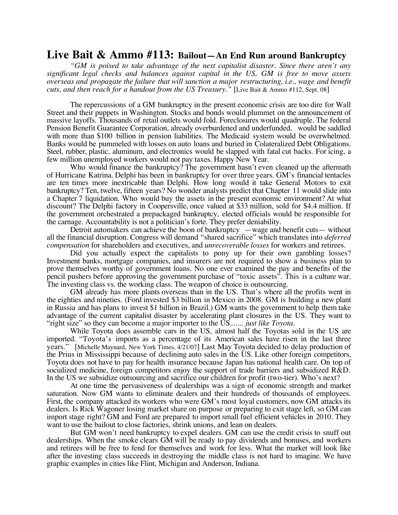## **Live Bait & Ammo #113: Bailout—An End Run around Bankruptcy**

*"GM is poised to take advantage of the next capitalist disaster. Since there aren't any significant legal checks and balances against capital in the US, GM is free to move assets overseas and propagate the failure that will sanction a major restructuring, i.e., wage and benefit cuts, and then reach for a handout from the US Treasury."* [Live Bait & Ammo #112, Sept. 08]

The repercussions of a GM bankruptcy in the present economic crisis are too dire for Wall Street and their puppets in Washington. Stocks and bonds would plummet on the announcement of massive layoffs. Thousands of retail outlets would fold. Foreclosures would quadruple. The federal Pension Benefit Guarantee Corporation, already overburdened and underfunded, would be saddled with more than \$100 billion in pension liabilities. The Medicaid system would be overwhelmed. Banks would be pummeled with losses on auto loans and buried in Colateralized Debt Obligations. Steel, rubber, plastic, aluminum, and electronics would be slapped with fatal cut backs. For icing, a few million unemployed workers would not pay taxes. Happy New Year.

Who would finance the bankruptcy? The government hasn't even cleaned up the aftermath of Hurricane Katrina. Delphi has been in bankruptcy for over three years. GM's financial tentacles are ten times more inextricable than Delphi. How long would it take General Motors to exit bankruptcy? Ten, twelve, fifteen years? No wonder analysts predict that Chapter 11 would slide into a Chapter 7 liquidation. Who would buy the assets in the present economic environment? At what discount? The Delphi factory in Coopersville, once valued at \$33 million, sold for \$4.4 million. If the government orchestrated a prepackaged bankruptcy, elected officials would be responsible for the carnage. Accountability is not a politician's forte. They prefer deniability.

Detroit automakers can achieve the boon of bankruptcy —wage and benefit cuts— without all the financial disruption. Congress will demand "shared sacrifice" which translates into *deferred compensation* for shareholders and executives, and *unrecoverable losses* for workers and retirees.

Did you actually expect the capitalists to pony up for their own gambling losses? Investment banks, mortgage companies, and insurers are not required to show a business plan to prove themselves worthy of government loans. No one ever examined the pay and benefits of the pencil pushers before approving the government purchase of "toxic assets". This is a culture war. The investing class vs. the working class. The weapon of choice is outsourcing.

GM already has more plants overseas than in the US. That's where all the profits went in the eighties and nineties. (Ford invested \$3 billion in Mexico in 2008. GM is building a new plant in Russia and has plans to invest \$1 billion in Brazil.) GM wants the government to help them take advantage of the current capitalist disaster by accelerating plant closures in the US. They want to "right size" so they can become a major importer to the US....... *just like Toyota*.

While Toyota does assemble cars in the US, almost half the Toyotas sold in the US are imported. "Toyota's imports as a percentage of its American sales have risen in the last three years." [Michelle Maynard, New York Times, 4/21/07] Last May Toyota decided to delay production of the Prius in Mississippi because of declining auto sales in the US. Like other foreign competitors, Toyota does not have to pay for health insurance because Japan has national health care. On top of socialized medicine, foreign competitors enjoy the support of trade barriers and subsidized R&D. In the US we subsidize outsourcing and sacrifice our children for profit (two-tier). Who's next?

At one time the pervasiveness of dealerships was a sign of economic strength and market saturation. Now GM wants to eliminate dealers and their hundreds of thousands of employees. First, the company attacked its workers who were GM's most loyal customers, now GM attacks its dealers. Is Rick Wagoner losing market share on purpose or preparing to exit stage left, so GM can import stage right? GM and Ford are prepared to import small fuel efficient vehicles in 2010. They want to use the bailout to close factories, shrink unions, and lean on dealers.

But GM won't need bankruptcy to expel dealers. GM can use the credit crisis to snuff out dealerships. When the smoke clears GM will be ready to pay dividends and bonuses, and workers and retirees will be free to fend for themselves and work for less. What the market will look like after the investing class succeeds in destroying the middle class is not hard to imagine. We have graphic examples in cities like Flint, Michigan and Anderson, Indiana.